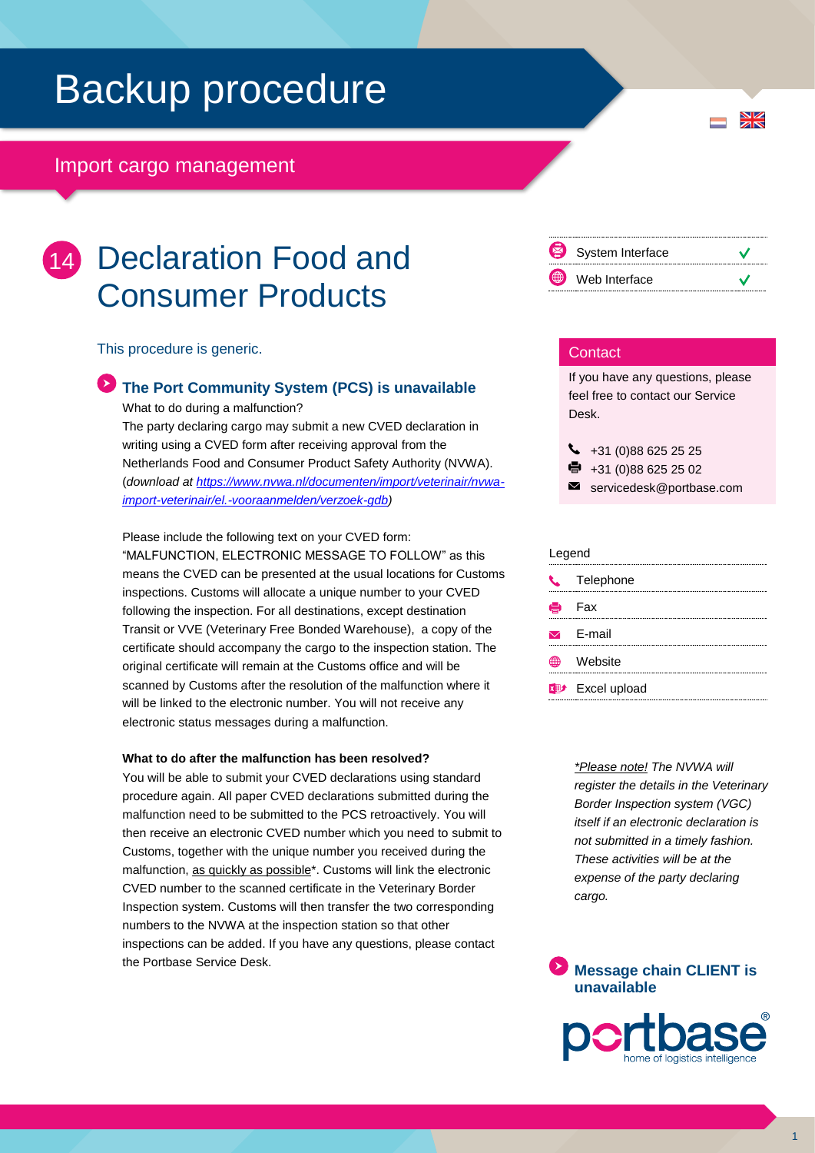# Backup procedure

# Import cargo management

# 14 Declaration Food and Consumer Products

This procedure is generic.

# **The Port Community System (PCS) is unavailable**

What to do during a malfunction? The party declaring cargo may submit a new CVED declaration in writing using a CVED form after receiving approval from the Netherlands Food and Consumer Product Safety Authority (NVWA). (*download at [https://www.nvwa.nl/documenten/import/veterinair/nvwa](https://www.nvwa.nl/documenten/import/veterinair/nvwa-import-veterinair/el.-vooraanmelden/verzoek-gdb)[import-veterinair/el.-vooraanmelden/verzoek-gdb\)](https://www.nvwa.nl/documenten/import/veterinair/nvwa-import-veterinair/el.-vooraanmelden/verzoek-gdb)*

Please include the following text on your CVED form: "MALFUNCTION, ELECTRONIC MESSAGE TO FOLLOW" as this means the CVED can be presented at the usual locations for Customs inspections. Customs will allocate a unique number to your CVED following the inspection. For all destinations, except destination Transit or VVE (Veterinary Free Bonded Warehouse), a copy of the certificate should accompany the cargo to the inspection station. The original certificate will remain at the Customs office and will be scanned by Customs after the resolution of the malfunction where it will be linked to the electronic number. You will not receive any electronic status messages during a malfunction.

### **What to do after the malfunction has been resolved?**

You will be able to submit your CVED declarations using standard procedure again. All paper CVED declarations submitted during the malfunction need to be submitted to the PCS retroactively. You will then receive an electronic CVED number which you need to submit to Customs, together with the unique number you received during the malfunction, as quickly as possible<sup>\*</sup>. Customs will link the electronic CVED number to the scanned certificate in the Veterinary Border Inspection system. Customs will then transfer the two corresponding numbers to the NVWA at the inspection station so that other inspections can be added. If you have any questions, please contact the Portbase Service Desk.



 $\frac{N}{N}$ 

## **Contact**

If you have any questions, please feel free to contact our Service Desk.

 $\begin{array}{r} \big\{\end{array}$  +31 (0)88 625 25 25

e. +31 (0)88 625 25 02

servicedesk@portbase.com

#### Legend

| ---- |                                    |  |
|------|------------------------------------|--|
|      | C Telephone                        |  |
|      | <b>骨</b> Fax                       |  |
|      | $\triangleright$ E-mail            |  |
|      | <b><sup>●</sup></b> Website        |  |
|      | <b>x</b> <sup>→</sup> Excel upload |  |
|      |                                    |  |

*\*Please note! The NVWA will register the details in the Veterinary Border Inspection system (VGC) itself if an electronic declaration is not submitted in a timely fashion. These activities will be at the expense of the party declaring cargo.*

**Message chain CLIENT is unavailable**

1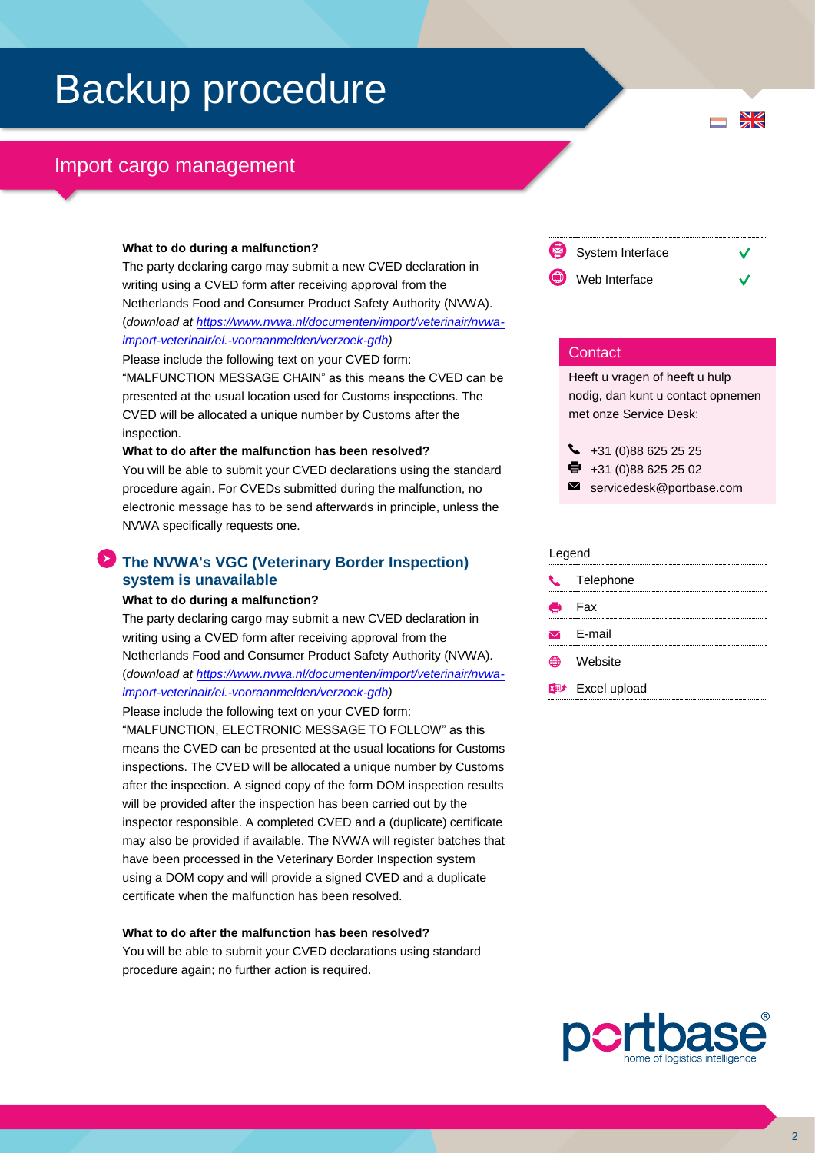# Backup procedure

# Import cargo management

#### **What to do during a malfunction?**

The party declaring cargo may submit a new CVED declaration in writing using a CVED form after receiving approval from the Netherlands Food and Consumer Product Safety Authority (NVWA). (*download at [https://www.nvwa.nl/documenten/import/veterinair/nvwa](https://www.nvwa.nl/documenten/import/veterinair/nvwa-import-veterinair/el.-vooraanmelden/verzoek-gdb)[import-veterinair/el.-vooraanmelden/verzoek-gdb\)](https://www.nvwa.nl/documenten/import/veterinair/nvwa-import-veterinair/el.-vooraanmelden/verzoek-gdb)*

Please include the following text on your CVED form: "MALFUNCTION MESSAGE CHAIN" as this means the CVED can be presented at the usual location used for Customs inspections. The CVED will be allocated a unique number by Customs after the inspection.

#### **What to do after the malfunction has been resolved?**

You will be able to submit your CVED declarations using the standard procedure again. For CVEDs submitted during the malfunction, no electronic message has to be send afterwards in principle, unless the NVWA specifically requests one.

# **The NVWA's VGC (Veterinary Border Inspection) system is unavailable**

#### **What to do during a malfunction?**

The party declaring cargo may submit a new CVED declaration in writing using a CVED form after receiving approval from the Netherlands Food and Consumer Product Safety Authority (NVWA). (*download at [https://www.nvwa.nl/documenten/import/veterinair/nvwa](https://www.nvwa.nl/documenten/import/veterinair/nvwa-import-veterinair/el.-vooraanmelden/verzoek-gdb)[import-veterinair/el.-vooraanmelden/verzoek-gdb\)](https://www.nvwa.nl/documenten/import/veterinair/nvwa-import-veterinair/el.-vooraanmelden/verzoek-gdb)*

Please include the following text on your CVED form:

"MALFUNCTION, ELECTRONIC MESSAGE TO FOLLOW" as this means the CVED can be presented at the usual locations for Customs inspections. The CVED will be allocated a unique number by Customs after the inspection. A signed copy of the form DOM inspection results will be provided after the inspection has been carried out by the inspector responsible. A completed CVED and a (duplicate) certificate may also be provided if available. The NVWA will register batches that have been processed in the Veterinary Border Inspection system using a DOM copy and will provide a signed CVED and a duplicate certificate when the malfunction has been resolved.

### **What to do after the malfunction has been resolved?**

You will be able to submit your CVED declarations using standard procedure again; no further action is required.



 $\frac{N}{N}$ 

### **Contact**

Heeft u vragen of heeft u hulp nodig, dan kunt u contact opnemen met onze Service Desk:

 $\bigcup$  +31 (0)88 625 25 25 e, +31 (0)88 625 25 02 servicedesk@portbase.com

| Legend |                         |
|--------|-------------------------|
| U.     | Telephone               |
|        | <b>ed</b> Fax           |
|        | $\triangleright$ F-mail |
|        | Website                 |
|        | <b>Excel upload</b>     |
|        |                         |